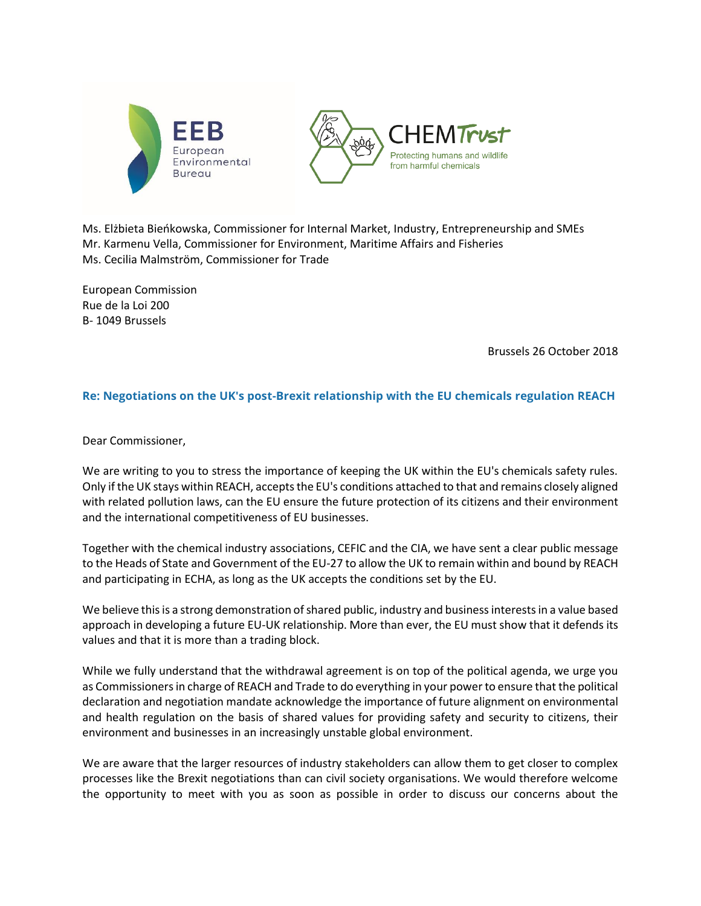



Ms. Elżbieta Bieńkowska, Commissioner for Internal Market, Industry, Entrepreneurship and SMEs Mr. Karmenu Vella, Commissioner for Environment, Maritime Affairs and Fisheries Ms. Cecilia Malmström, Commissioner for Trade

European Commission Rue de la Loi 200 B- 1049 Brussels

Brussels 26 October 2018

## **Re: Negotiations on the UK's post-Brexit relationship with the EU chemicals regulation REACH**

Dear Commissioner,

We are writing to you to stress the importance of keeping the UK within the EU's chemicals safety rules. Only if the UK stays within REACH, accepts the EU's conditions attached to that and remains closely aligned with related pollution laws, can the EU ensure the future protection of its citizens and their environment and the international competitiveness of EU businesses.

Together with the chemical industry associations, CEFIC and the CIA, we have sent a clear public message to the Heads of State and Government of the EU-27 to allow the UK to remain within and bound by REACH and participating in ECHA, as long as the UK accepts the conditions set by the EU.

We believe this is a strong demonstration of shared public, industry and business interests in a value based approach in developing a future EU-UK relationship. More than ever, the EU must show that it defends its values and that it is more than a trading block.

While we fully understand that the withdrawal agreement is on top of the political agenda, we urge you as Commissioners in charge of REACH and Trade to do everything in your power to ensure that the political declaration and negotiation mandate acknowledge the importance of future alignment on environmental and health regulation on the basis of shared values for providing safety and security to citizens, their environment and businesses in an increasingly unstable global environment.

We are aware that the larger resources of industry stakeholders can allow them to get closer to complex processes like the Brexit negotiations than can civil society organisations. We would therefore welcome the opportunity to meet with you as soon as possible in order to discuss our concerns about the